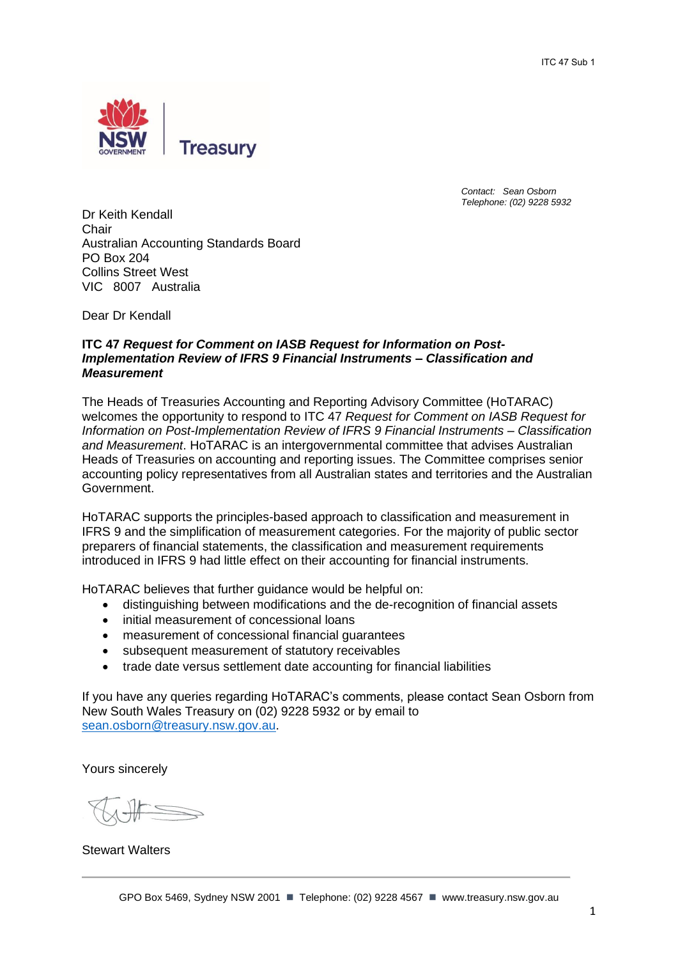

*Contact: Sean Osborn Telephone: (02) 9228 5932*

Dr Keith Kendall Chair Australian Accounting Standards Board PO Box 204 Collins Street West VIC 8007 Australia

Dear Dr Kendall

#### **ITC 47** *Request for Comment on IASB Request for Information on Post-Implementation Review of IFRS 9 Financial Instruments – Classification and Measurement*

The Heads of Treasuries Accounting and Reporting Advisory Committee (HoTARAC) welcomes the opportunity to respond to ITC 47 *Request for Comment on IASB Request for Information on Post-Implementation Review of IFRS 9 Financial Instruments – Classification and Measurement*. HoTARAC is an intergovernmental committee that advises Australian Heads of Treasuries on accounting and reporting issues. The Committee comprises senior accounting policy representatives from all Australian states and territories and the Australian Government.

HoTARAC supports the principles-based approach to classification and measurement in IFRS 9 and the simplification of measurement categories. For the majority of public sector preparers of financial statements, the classification and measurement requirements introduced in IFRS 9 had little effect on their accounting for financial instruments.

HoTARAC believes that further guidance would be helpful on:

- distinguishing between modifications and the de-recognition of financial assets
- initial measurement of concessional loans
- measurement of concessional financial guarantees
- subsequent measurement of statutory receivables
- trade date versus settlement date accounting for financial liabilities

If you have any queries regarding HoTARAC's comments, please contact Sean Osborn from New South Wales Treasury on (02) 9228 5932 or by email to [sean.osborn@treasury.nsw.gov.au.](mailto:sean.osborn@treasury.nsw.gov.au)

Yours sincerely

Stewart Walters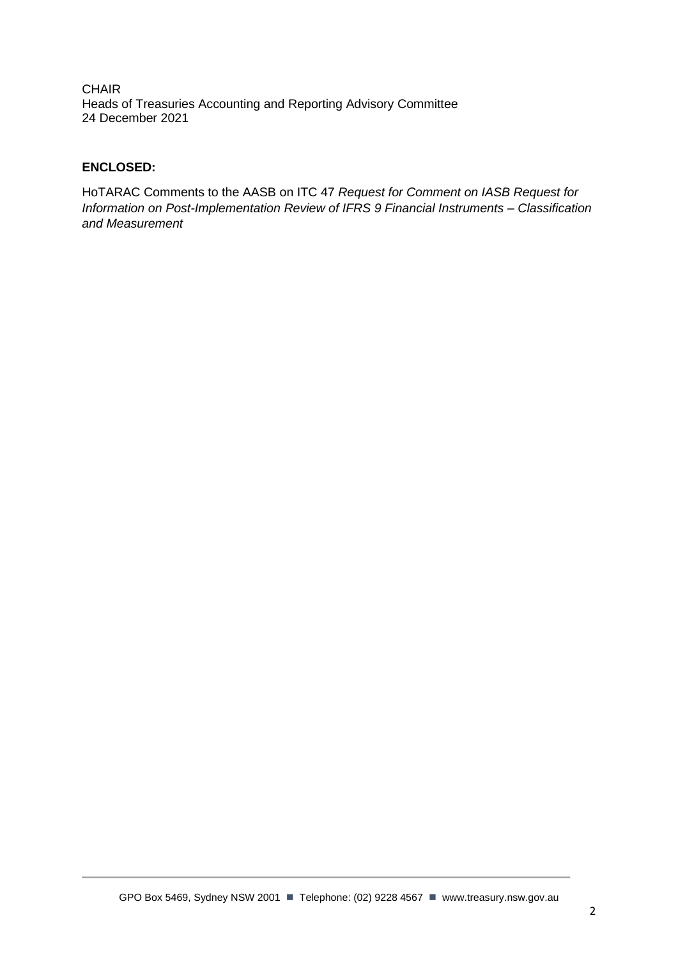**CHAIR** Heads of Treasuries Accounting and Reporting Advisory Committee 24 December 2021

# **ENCLOSED:**

HoTARAC Comments to the AASB on ITC 47 *Request for Comment on IASB Request for Information on Post-Implementation Review of IFRS 9 Financial Instruments – Classification and Measurement*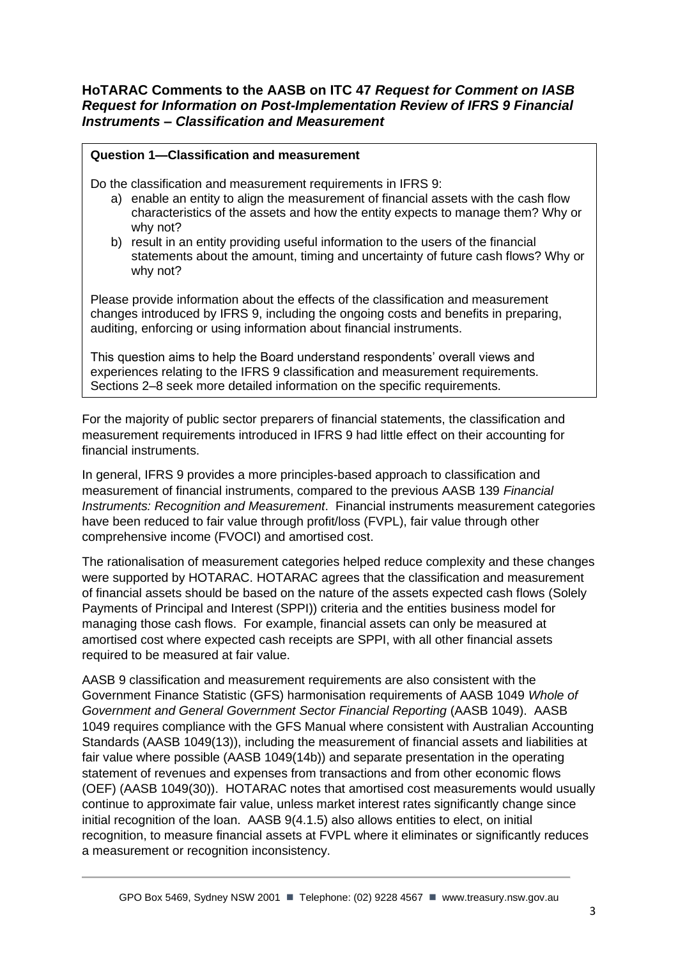# **HoTARAC Comments to the AASB on ITC 47** *Request for Comment on IASB Request for Information on Post-Implementation Review of IFRS 9 Financial Instruments – Classification and Measurement*

# **Question 1—Classification and measurement**

Do the classification and measurement requirements in IFRS 9:

- a) enable an entity to align the measurement of financial assets with the cash flow characteristics of the assets and how the entity expects to manage them? Why or why not?
- b) result in an entity providing useful information to the users of the financial statements about the amount, timing and uncertainty of future cash flows? Why or why not?

Please provide information about the effects of the classification and measurement changes introduced by IFRS 9, including the ongoing costs and benefits in preparing, auditing, enforcing or using information about financial instruments.

This question aims to help the Board understand respondents' overall views and experiences relating to the IFRS 9 classification and measurement requirements. Sections 2–8 seek more detailed information on the specific requirements.

For the majority of public sector preparers of financial statements, the classification and measurement requirements introduced in IFRS 9 had little effect on their accounting for financial instruments.

In general, IFRS 9 provides a more principles-based approach to classification and measurement of financial instruments, compared to the previous AASB 139 *Financial Instruments: Recognition and Measurement*. Financial instruments measurement categories have been reduced to fair value through profit/loss (FVPL), fair value through other comprehensive income (FVOCI) and amortised cost.

The rationalisation of measurement categories helped reduce complexity and these changes were supported by HOTARAC. HOTARAC agrees that the classification and measurement of financial assets should be based on the nature of the assets expected cash flows (Solely Payments of Principal and Interest (SPPI)) criteria and the entities business model for managing those cash flows. For example, financial assets can only be measured at amortised cost where expected cash receipts are SPPI, with all other financial assets required to be measured at fair value.

AASB 9 classification and measurement requirements are also consistent with the Government Finance Statistic (GFS) harmonisation requirements of AASB 1049 *Whole of Government and General Government Sector Financial Reporting* (AASB 1049). AASB 1049 requires compliance with the GFS Manual where consistent with Australian Accounting Standards (AASB 1049(13)), including the measurement of financial assets and liabilities at fair value where possible (AASB 1049(14b)) and separate presentation in the operating statement of revenues and expenses from transactions and from other economic flows (OEF) (AASB 1049(30)). HOTARAC notes that amortised cost measurements would usually continue to approximate fair value, unless market interest rates significantly change since initial recognition of the loan. AASB 9(4.1.5) also allows entities to elect, on initial recognition, to measure financial assets at FVPL where it eliminates or significantly reduces a measurement or recognition inconsistency.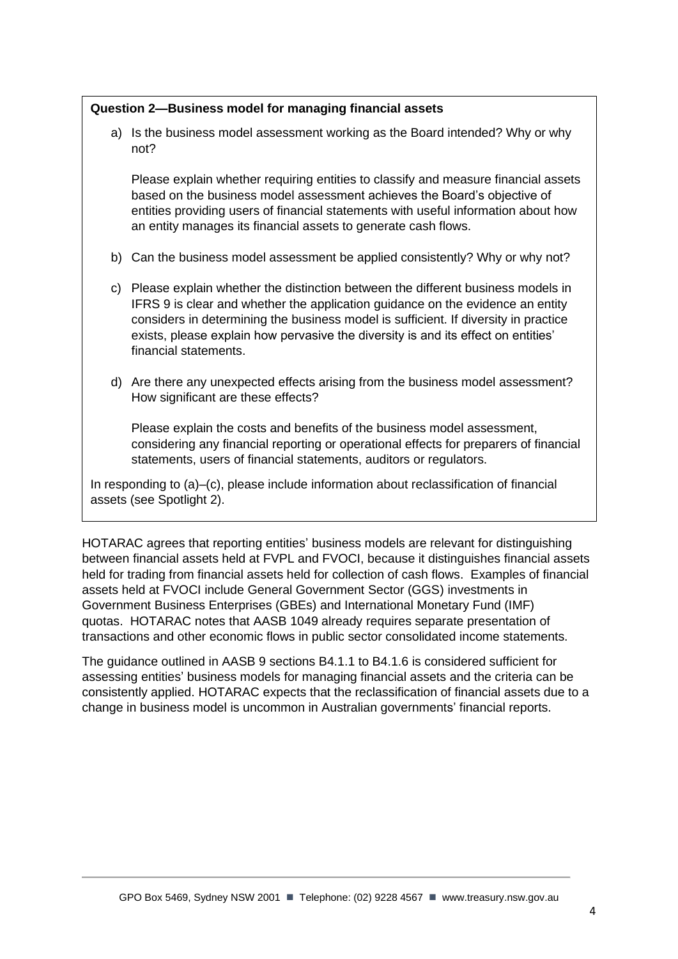# **Question 2—Business model for managing financial assets**

a) Is the business model assessment working as the Board intended? Why or why not?

Please explain whether requiring entities to classify and measure financial assets based on the business model assessment achieves the Board's objective of entities providing users of financial statements with useful information about how an entity manages its financial assets to generate cash flows.

- b) Can the business model assessment be applied consistently? Why or why not?
- c) Please explain whether the distinction between the different business models in IFRS 9 is clear and whether the application guidance on the evidence an entity considers in determining the business model is sufficient. If diversity in practice exists, please explain how pervasive the diversity is and its effect on entities' financial statements.
- d) Are there any unexpected effects arising from the business model assessment? How significant are these effects?

Please explain the costs and benefits of the business model assessment, considering any financial reporting or operational effects for preparers of financial statements, users of financial statements, auditors or regulators.

In responding to (a)–(c), please include information about reclassification of financial assets (see Spotlight 2).

HOTARAC agrees that reporting entities' business models are relevant for distinguishing between financial assets held at FVPL and FVOCI, because it distinguishes financial assets held for trading from financial assets held for collection of cash flows. Examples of financial assets held at FVOCI include General Government Sector (GGS) investments in Government Business Enterprises (GBEs) and International Monetary Fund (IMF) quotas. HOTARAC notes that AASB 1049 already requires separate presentation of transactions and other economic flows in public sector consolidated income statements.

The guidance outlined in AASB 9 sections B4.1.1 to B4.1.6 is considered sufficient for assessing entities' business models for managing financial assets and the criteria can be consistently applied. HOTARAC expects that the reclassification of financial assets due to a change in business model is uncommon in Australian governments' financial reports.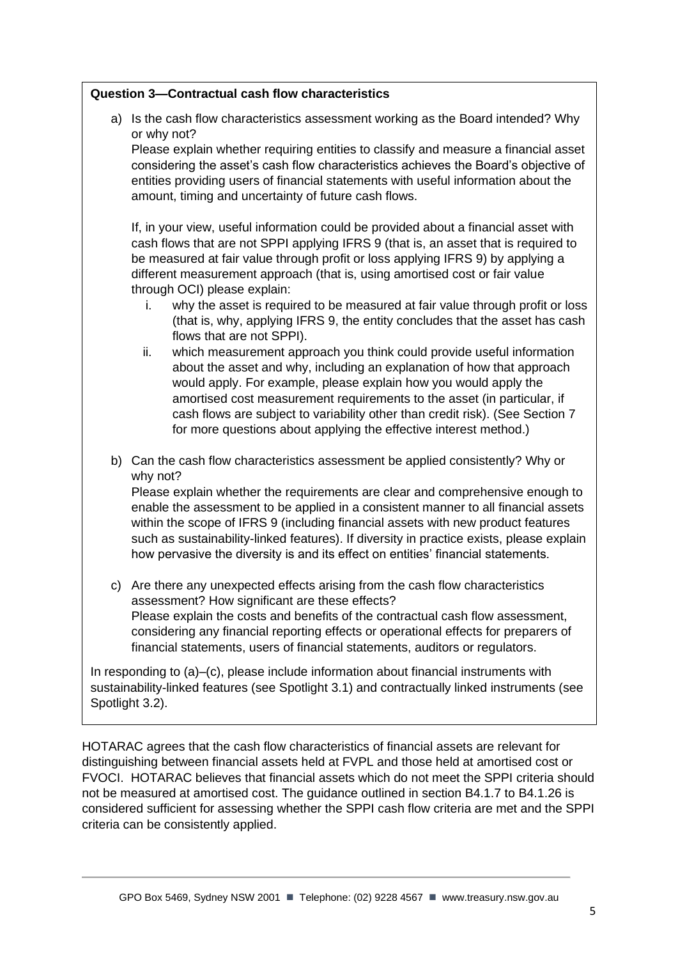# **Question 3—Contractual cash flow characteristics**

a) Is the cash flow characteristics assessment working as the Board intended? Why or why not?

Please explain whether requiring entities to classify and measure a financial asset considering the asset's cash flow characteristics achieves the Board's objective of entities providing users of financial statements with useful information about the amount, timing and uncertainty of future cash flows.

If, in your view, useful information could be provided about a financial asset with cash flows that are not SPPI applying IFRS 9 (that is, an asset that is required to be measured at fair value through profit or loss applying IFRS 9) by applying a different measurement approach (that is, using amortised cost or fair value through OCI) please explain:

- i. why the asset is required to be measured at fair value through profit or loss (that is, why, applying IFRS 9, the entity concludes that the asset has cash flows that are not SPPI).
- ii. which measurement approach you think could provide useful information about the asset and why, including an explanation of how that approach would apply. For example, please explain how you would apply the amortised cost measurement requirements to the asset (in particular, if cash flows are subject to variability other than credit risk). (See Section 7 for more questions about applying the effective interest method.)
- b) Can the cash flow characteristics assessment be applied consistently? Why or why not?

Please explain whether the requirements are clear and comprehensive enough to enable the assessment to be applied in a consistent manner to all financial assets within the scope of IFRS 9 (including financial assets with new product features such as sustainability-linked features). If diversity in practice exists, please explain how pervasive the diversity is and its effect on entities' financial statements.

c) Are there any unexpected effects arising from the cash flow characteristics assessment? How significant are these effects? Please explain the costs and benefits of the contractual cash flow assessment, considering any financial reporting effects or operational effects for preparers of financial statements, users of financial statements, auditors or regulators.

In responding to (a)–(c), please include information about financial instruments with sustainability-linked features (see Spotlight 3.1) and contractually linked instruments (see Spotlight 3.2).

HOTARAC agrees that the cash flow characteristics of financial assets are relevant for distinguishing between financial assets held at FVPL and those held at amortised cost or FVOCI. HOTARAC believes that financial assets which do not meet the SPPI criteria should not be measured at amortised cost. The guidance outlined in section B4.1.7 to B4.1.26 is considered sufficient for assessing whether the SPPI cash flow criteria are met and the SPPI criteria can be consistently applied.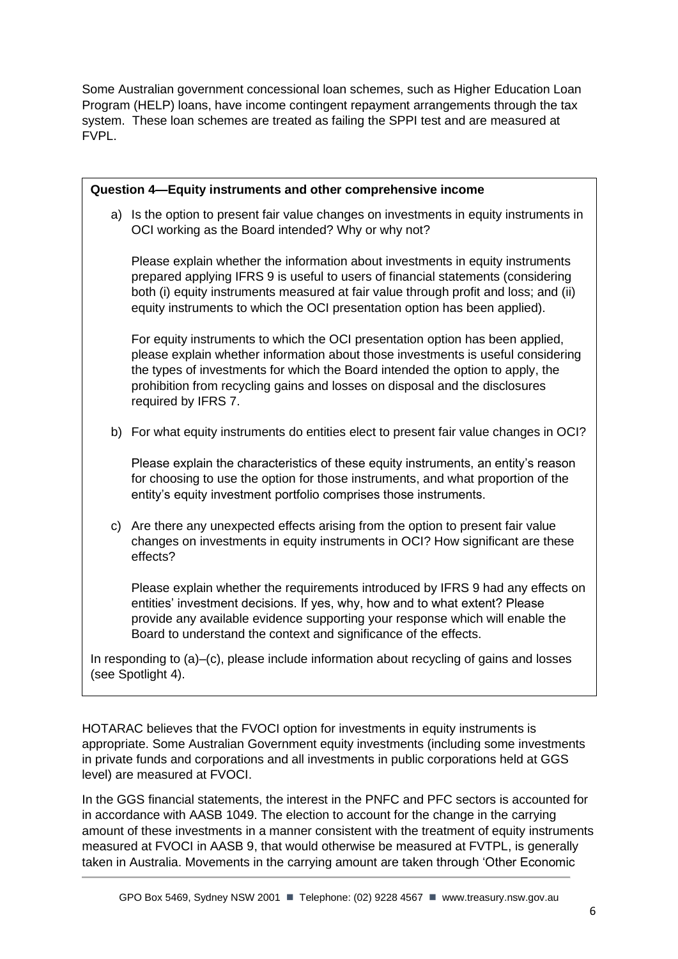Some Australian government concessional loan schemes, such as Higher Education Loan Program (HELP) loans, have income contingent repayment arrangements through the tax system. These loan schemes are treated as failing the SPPI test and are measured at FVPL.

| Question 4-Equity instruments and other comprehensive income                                                   |                                                                                                                                                                                                                                                                                                                                                           |
|----------------------------------------------------------------------------------------------------------------|-----------------------------------------------------------------------------------------------------------------------------------------------------------------------------------------------------------------------------------------------------------------------------------------------------------------------------------------------------------|
|                                                                                                                | a) Is the option to present fair value changes on investments in equity instruments in<br>OCI working as the Board intended? Why or why not?                                                                                                                                                                                                              |
|                                                                                                                | Please explain whether the information about investments in equity instruments<br>prepared applying IFRS 9 is useful to users of financial statements (considering<br>both (i) equity instruments measured at fair value through profit and loss; and (ii)<br>equity instruments to which the OCI presentation option has been applied).                  |
|                                                                                                                | For equity instruments to which the OCI presentation option has been applied,<br>please explain whether information about those investments is useful considering<br>the types of investments for which the Board intended the option to apply, the<br>prohibition from recycling gains and losses on disposal and the disclosures<br>required by IFRS 7. |
|                                                                                                                | b) For what equity instruments do entities elect to present fair value changes in OCI?                                                                                                                                                                                                                                                                    |
|                                                                                                                | Please explain the characteristics of these equity instruments, an entity's reason<br>for choosing to use the option for those instruments, and what proportion of the<br>entity's equity investment portfolio comprises those instruments.                                                                                                               |
|                                                                                                                | c) Are there any unexpected effects arising from the option to present fair value<br>changes on investments in equity instruments in OCI? How significant are these<br>effects?                                                                                                                                                                           |
|                                                                                                                | Please explain whether the requirements introduced by IFRS 9 had any effects on<br>entities' investment decisions. If yes, why, how and to what extent? Please<br>provide any available evidence supporting your response which will enable the<br>Board to understand the context and significance of the effects.                                       |
| In responding to (a)–(c), please include information about recycling of gains and losses<br>(see Spotlight 4). |                                                                                                                                                                                                                                                                                                                                                           |

HOTARAC believes that the FVOCI option for investments in equity instruments is appropriate. Some Australian Government equity investments (including some investments in private funds and corporations and all investments in public corporations held at GGS level) are measured at FVOCI.

In the GGS financial statements, the interest in the PNFC and PFC sectors is accounted for in accordance with AASB 1049. The election to account for the change in the carrying amount of these investments in a manner consistent with the treatment of equity instruments measured at FVOCI in AASB 9, that would otherwise be measured at FVTPL, is generally taken in Australia. Movements in the carrying amount are taken through 'Other Economic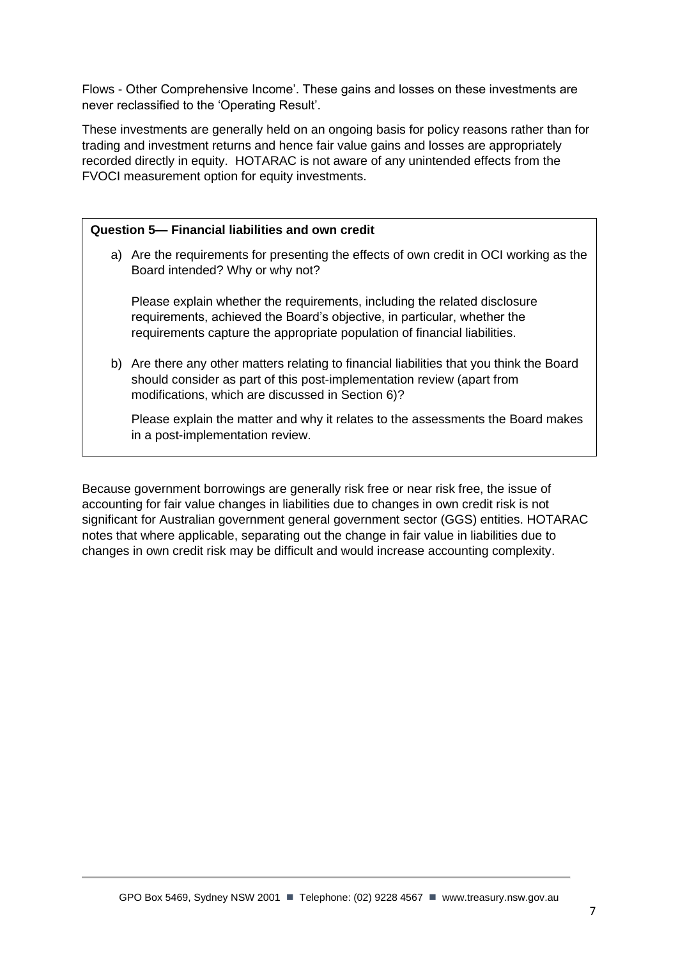Flows - Other Comprehensive Income'. These gains and losses on these investments are never reclassified to the 'Operating Result'.

These investments are generally held on an ongoing basis for policy reasons rather than for trading and investment returns and hence fair value gains and losses are appropriately recorded directly in equity. HOTARAC is not aware of any unintended effects from the FVOCI measurement option for equity investments.

#### **Question 5— Financial liabilities and own credit**

a) Are the requirements for presenting the effects of own credit in OCI working as the Board intended? Why or why not?

Please explain whether the requirements, including the related disclosure requirements, achieved the Board's objective, in particular, whether the requirements capture the appropriate population of financial liabilities.

b) Are there any other matters relating to financial liabilities that you think the Board should consider as part of this post-implementation review (apart from modifications, which are discussed in Section 6)?

Please explain the matter and why it relates to the assessments the Board makes in a post-implementation review.

Because government borrowings are generally risk free or near risk free, the issue of accounting for fair value changes in liabilities due to changes in own credit risk is not significant for Australian government general government sector (GGS) entities. HOTARAC notes that where applicable, separating out the change in fair value in liabilities due to changes in own credit risk may be difficult and would increase accounting complexity.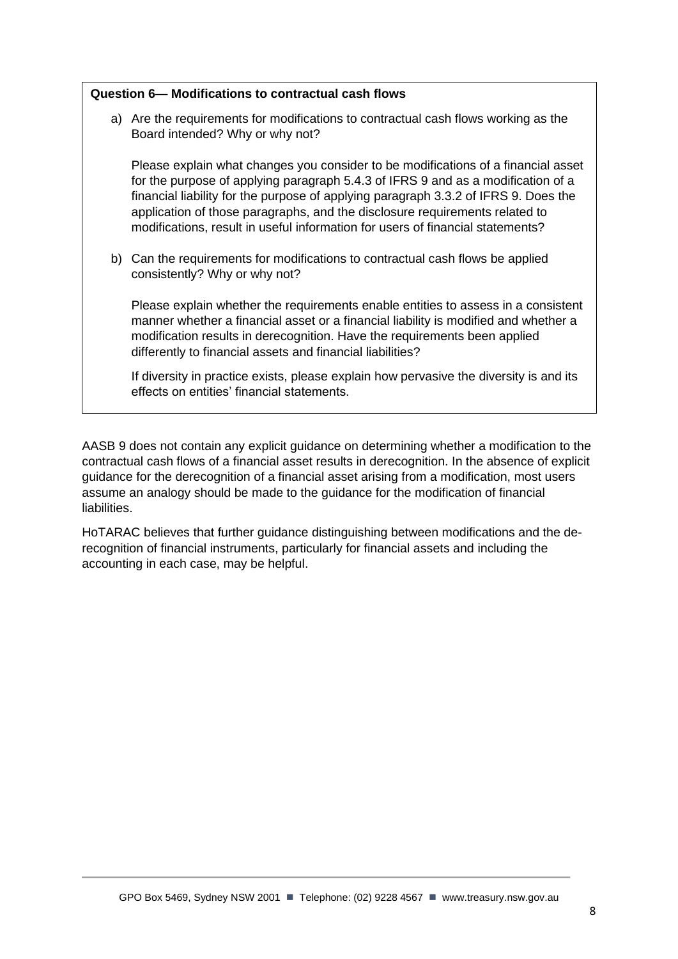# **Question 6— Modifications to contractual cash flows**

a) Are the requirements for modifications to contractual cash flows working as the Board intended? Why or why not?

Please explain what changes you consider to be modifications of a financial asset for the purpose of applying paragraph 5.4.3 of IFRS 9 and as a modification of a financial liability for the purpose of applying paragraph 3.3.2 of IFRS 9. Does the application of those paragraphs, and the disclosure requirements related to modifications, result in useful information for users of financial statements?

b) Can the requirements for modifications to contractual cash flows be applied consistently? Why or why not?

Please explain whether the requirements enable entities to assess in a consistent manner whether a financial asset or a financial liability is modified and whether a modification results in derecognition. Have the requirements been applied differently to financial assets and financial liabilities?

If diversity in practice exists, please explain how pervasive the diversity is and its effects on entities' financial statements.

AASB 9 does not contain any explicit guidance on determining whether a modification to the contractual cash flows of a financial asset results in derecognition. In the absence of explicit guidance for the derecognition of a financial asset arising from a modification, most users assume an analogy should be made to the guidance for the modification of financial liabilities.

HoTARAC believes that further guidance distinguishing between modifications and the derecognition of financial instruments, particularly for financial assets and including the accounting in each case, may be helpful.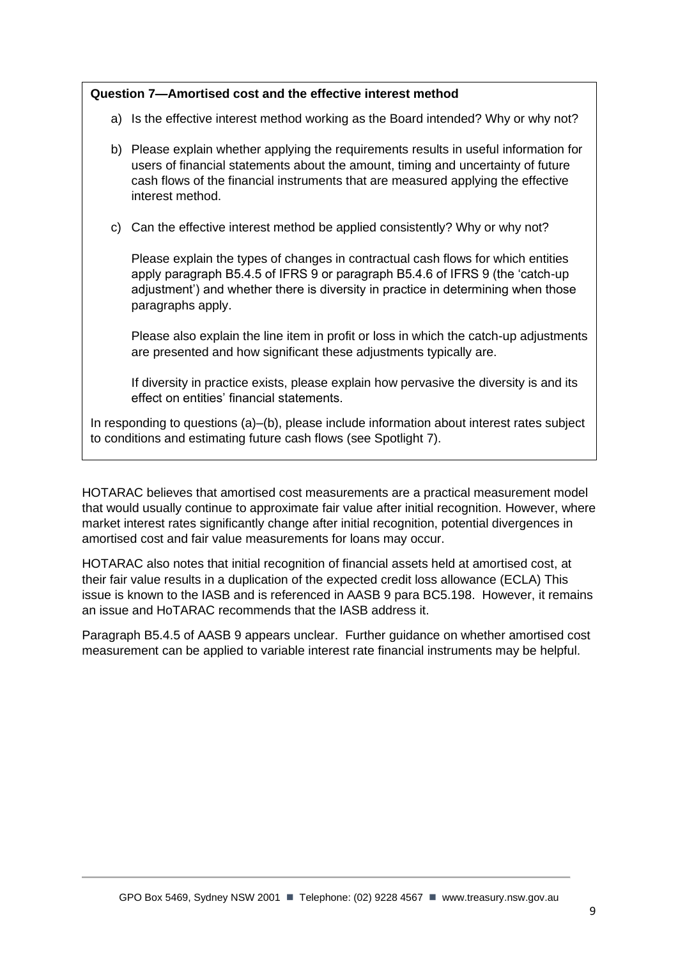# **Question 7—Amortised cost and the effective interest method**

- a) Is the effective interest method working as the Board intended? Why or why not?
- b) Please explain whether applying the requirements results in useful information for users of financial statements about the amount, timing and uncertainty of future cash flows of the financial instruments that are measured applying the effective interest method.
- c) Can the effective interest method be applied consistently? Why or why not?

Please explain the types of changes in contractual cash flows for which entities apply paragraph B5.4.5 of IFRS 9 or paragraph B5.4.6 of IFRS 9 (the 'catch-up adjustment') and whether there is diversity in practice in determining when those paragraphs apply.

Please also explain the line item in profit or loss in which the catch-up adjustments are presented and how significant these adjustments typically are.

If diversity in practice exists, please explain how pervasive the diversity is and its effect on entities' financial statements.

In responding to questions (a)–(b), please include information about interest rates subject to conditions and estimating future cash flows (see Spotlight 7).

HOTARAC believes that amortised cost measurements are a practical measurement model that would usually continue to approximate fair value after initial recognition. However, where market interest rates significantly change after initial recognition, potential divergences in amortised cost and fair value measurements for loans may occur.

HOTARAC also notes that initial recognition of financial assets held at amortised cost, at their fair value results in a duplication of the expected credit loss allowance (ECLA) This issue is known to the IASB and is referenced in AASB 9 para BC5.198. However, it remains an issue and HoTARAC recommends that the IASB address it.

Paragraph B5.4.5 of AASB 9 appears unclear. Further guidance on whether amortised cost measurement can be applied to variable interest rate financial instruments may be helpful.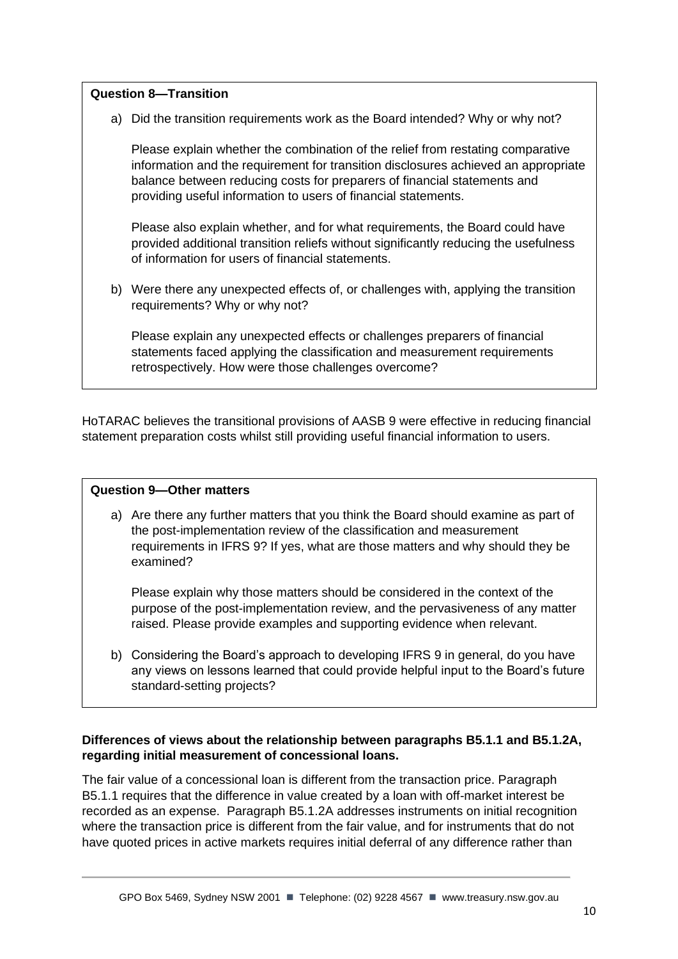# **Question 8—Transition**

a) Did the transition requirements work as the Board intended? Why or why not?

Please explain whether the combination of the relief from restating comparative information and the requirement for transition disclosures achieved an appropriate balance between reducing costs for preparers of financial statements and providing useful information to users of financial statements.

Please also explain whether, and for what requirements, the Board could have provided additional transition reliefs without significantly reducing the usefulness of information for users of financial statements.

b) Were there any unexpected effects of, or challenges with, applying the transition requirements? Why or why not?

Please explain any unexpected effects or challenges preparers of financial statements faced applying the classification and measurement requirements retrospectively. How were those challenges overcome?

HoTARAC believes the transitional provisions of AASB 9 were effective in reducing financial statement preparation costs whilst still providing useful financial information to users.

#### **Question 9—Other matters**

a) Are there any further matters that you think the Board should examine as part of the post-implementation review of the classification and measurement requirements in IFRS 9? If yes, what are those matters and why should they be examined?

Please explain why those matters should be considered in the context of the purpose of the post-implementation review, and the pervasiveness of any matter raised. Please provide examples and supporting evidence when relevant.

b) Considering the Board's approach to developing IFRS 9 in general, do you have any views on lessons learned that could provide helpful input to the Board's future standard-setting projects?

#### **Differences of views about the relationship between paragraphs B5.1.1 and B5.1.2A, regarding initial measurement of concessional loans.**

The fair value of a concessional loan is different from the transaction price. Paragraph B5.1.1 requires that the difference in value created by a loan with off-market interest be recorded as an expense. Paragraph B5.1.2A addresses instruments on initial recognition where the transaction price is different from the fair value, and for instruments that do not have quoted prices in active markets requires initial deferral of any difference rather than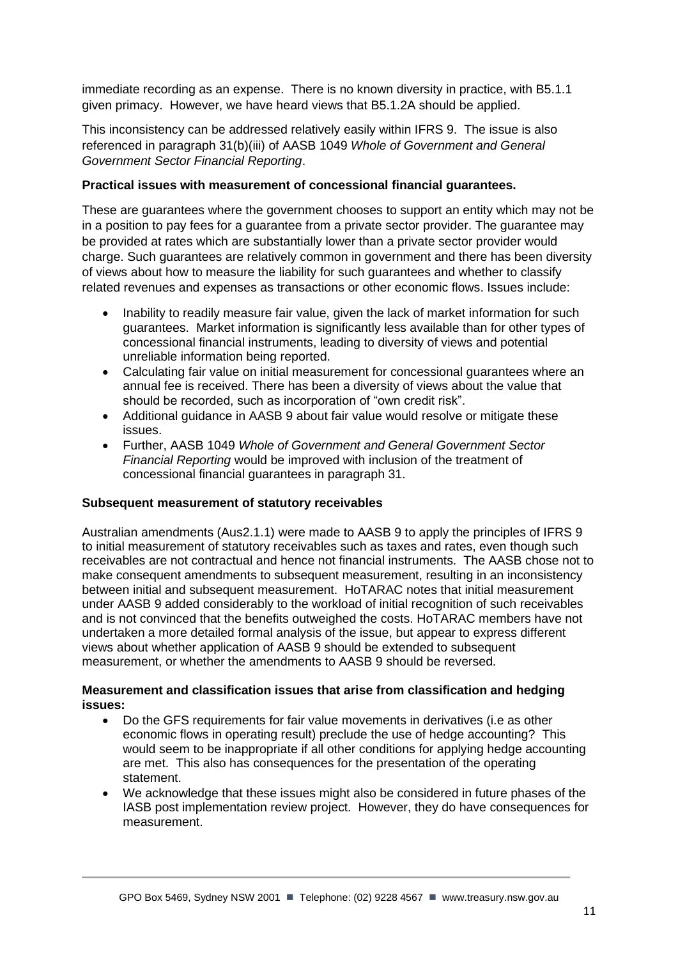immediate recording as an expense. There is no known diversity in practice, with B5.1.1 given primacy. However, we have heard views that B5.1.2A should be applied.

This inconsistency can be addressed relatively easily within IFRS 9. The issue is also referenced in paragraph 31(b)(iii) of AASB 1049 *Whole of Government and General Government Sector Financial Reporting*.

#### **Practical issues with measurement of concessional financial guarantees.**

These are guarantees where the government chooses to support an entity which may not be in a position to pay fees for a guarantee from a private sector provider. The guarantee may be provided at rates which are substantially lower than a private sector provider would charge. Such guarantees are relatively common in government and there has been diversity of views about how to measure the liability for such guarantees and whether to classify related revenues and expenses as transactions or other economic flows. Issues include:

- Inability to readily measure fair value, given the lack of market information for such guarantees. Market information is significantly less available than for other types of concessional financial instruments, leading to diversity of views and potential unreliable information being reported.
- Calculating fair value on initial measurement for concessional guarantees where an annual fee is received. There has been a diversity of views about the value that should be recorded, such as incorporation of "own credit risk".
- Additional guidance in AASB 9 about fair value would resolve or mitigate these issues.
- Further, AASB 1049 *Whole of Government and General Government Sector Financial Reporting* would be improved with inclusion of the treatment of concessional financial guarantees in paragraph 31.

#### **Subsequent measurement of statutory receivables**

Australian amendments (Aus2.1.1) were made to AASB 9 to apply the principles of IFRS 9 to initial measurement of statutory receivables such as taxes and rates, even though such receivables are not contractual and hence not financial instruments. The AASB chose not to make consequent amendments to subsequent measurement, resulting in an inconsistency between initial and subsequent measurement. HoTARAC notes that initial measurement under AASB 9 added considerably to the workload of initial recognition of such receivables and is not convinced that the benefits outweighed the costs. HoTARAC members have not undertaken a more detailed formal analysis of the issue, but appear to express different views about whether application of AASB 9 should be extended to subsequent measurement, or whether the amendments to AASB 9 should be reversed.

#### **Measurement and classification issues that arise from classification and hedging issues:**

- Do the GFS requirements for fair value movements in derivatives (i.e as other economic flows in operating result) preclude the use of hedge accounting? This would seem to be inappropriate if all other conditions for applying hedge accounting are met. This also has consequences for the presentation of the operating statement.
- We acknowledge that these issues might also be considered in future phases of the IASB post implementation review project. However, they do have consequences for measurement.